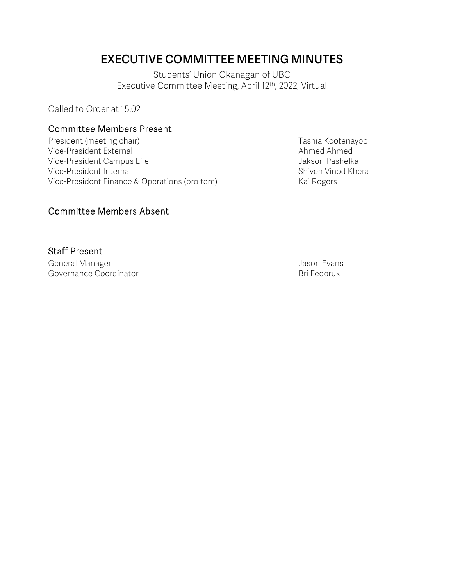# **EXECUTIVE COMMITTEE MEETING MINUTES**

Students' Union Okanagan of UBC Executive Committee Meeting, April 12th, 2022, Virtual

Called to Order at 15:02

#### Committee Members Present

President (meeting chair) Tresident (meeting chair) and the Control of Tashia Kootenayoo Vice-President External and Ahmed Ahmed Ahmed Ahmed Ahmed Ahmed Ahmed Ahmed Ahmed Ahmed Ahmed Ahmed Ahmed Ahmed Ahmed Ahmed Ahmed Ahmed Ahmed Ahmed Ahmed Ahmed Ahmed Ahmed Ahmed Ahmed Ahmed Ahmed Ahmed Ahmed Ahmed Ahmed Ah Vice-President Campus Life **Jakson Pashelka** Vice-President Internal and Shiven Vinod Khera Vice-President Finance & Operations (pro tem) Kai Rogers

#### Committee Members Absent

#### Staff Present

General Manager and Seneral Manager and Seneral Manager and Seneral Association of the Union Seneral Associatio<br>Governance Coordinator and Seneral Association of the Britannic Britannic Britannic Britannic Britannic Britan Governance Coordinator